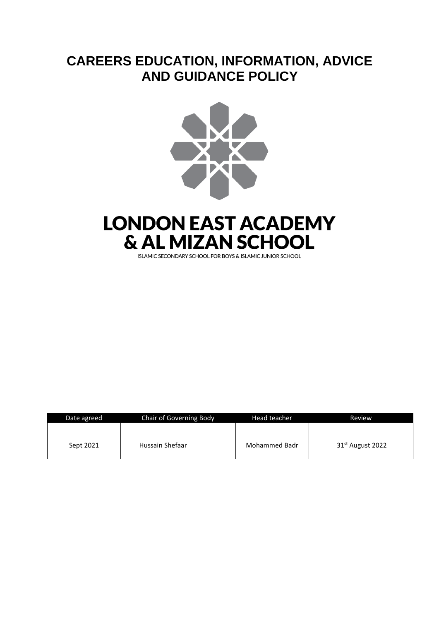# **CAREERS EDUCATION, INFORMATION, ADVICE AND GUIDANCE POLICY**



# **LONDON EAST ACADEMY & AL MIZAN SCHOOL**

**ISLAMIC SECONDARY SCHOOL FOR BOYS & ISLAMIC JUNIOR SCHOOL** 

| Date agreed | <b>Chair of Governing Body</b> | Head teacher  | Review                       |
|-------------|--------------------------------|---------------|------------------------------|
| Sept 2021   | Hussain Shefaar                | Mohammed Badr | 31 <sup>st</sup> August 2022 |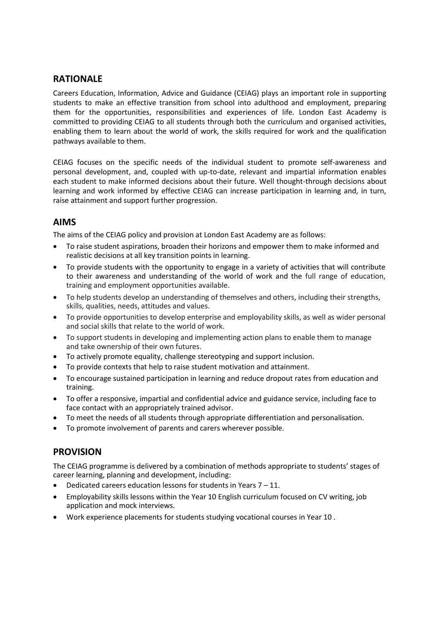#### **RATIONALE**

Careers Education, Information, Advice and Guidance (CEIAG) plays an important role in supporting students to make an effective transition from school into adulthood and employment, preparing them for the opportunities, responsibilities and experiences of life. London East Academy is committed to providing CEIAG to all students through both the curriculum and organised activities, enabling them to learn about the world of work, the skills required for work and the qualification pathways available to them.

CEIAG focuses on the specific needs of the individual student to promote self-awareness and personal development, and, coupled with up-to-date, relevant and impartial information enables each student to make informed decisions about their future. Well thought-through decisions about learning and work informed by effective CEIAG can increase participation in learning and, in turn, raise attainment and support further progression.

# **AIMS**

The aims of the CEIAG policy and provision at London East Academy are as follows:

- To raise student aspirations, broaden their horizons and empower them to make informed and realistic decisions at all key transition points in learning.
- To provide students with the opportunity to engage in a variety of activities that will contribute to their awareness and understanding of the world of work and the full range of education, training and employment opportunities available.
- To help students develop an understanding of themselves and others, including their strengths, skills, qualities, needs, attitudes and values.
- To provide opportunities to develop enterprise and employability skills, as well as wider personal and social skills that relate to the world of work.
- To support students in developing and implementing action plans to enable them to manage and take ownership of their own futures.
- To actively promote equality, challenge stereotyping and support inclusion.
- To provide contexts that help to raise student motivation and attainment.
- To encourage sustained participation in learning and reduce dropout rates from education and training.
- To offer a responsive, impartial and confidential advice and guidance service, including face to face contact with an appropriately trained advisor.
- To meet the needs of all students through appropriate differentiation and personalisation.
- To promote involvement of parents and carers wherever possible.

# **PROVISION**

The CEIAG programme is delivered by a combination of methods appropriate to students' stages of career learning, planning and development, including:

- Dedicated careers education lessons for students in Years 7 11.
- Employability skills lessons within the Year 10 English curriculum focused on CV writing, job application and mock interviews.
- Work experience placements for students studying vocational courses in Year 10 .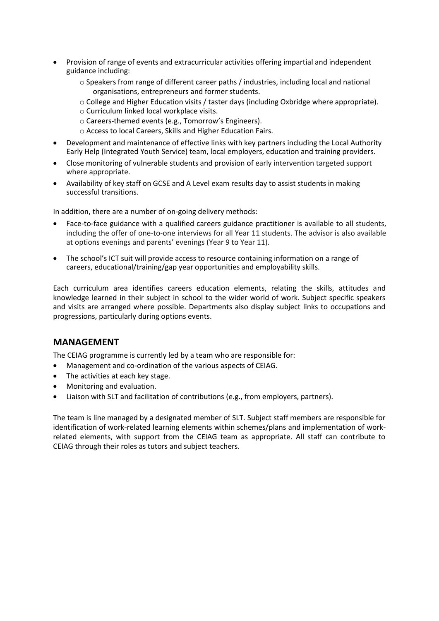- Provision of range of events and extracurricular activities offering impartial and independent guidance including:
	- o Speakers from range of different career paths / industries, including local and national organisations, entrepreneurs and former students.
	- o College and Higher Education visits / taster days (including Oxbridge where appropriate).
	- o Curriculum linked local workplace visits.
	- o Careers-themed events (e.g., Tomorrow's Engineers).
	- o Access to local Careers, Skills and Higher Education Fairs.
- Development and maintenance of effective links with key partners including the Local Authority Early Help (Integrated Youth Service) team, local employers, education and training providers.
- Close monitoring of vulnerable students and provision of early intervention targeted support where appropriate.
- Availability of key staff on GCSE and A Level exam results day to assist students in making successful transitions.

In addition, there are a number of on-going delivery methods:

- Face-to-face guidance with a qualified careers guidance practitioner is available to all students, including the offer of one-to-one interviews for all Year 11 students. The advisor is also available at options evenings and parents' evenings (Year 9 to Year 11).
- The school's ICT suit will provide access to resource containing information on a range of careers, educational/training/gap year opportunities and employability skills.

Each curriculum area identifies careers education elements, relating the skills, attitudes and knowledge learned in their subject in school to the wider world of work. Subject specific speakers and visits are arranged where possible. Departments also display subject links to occupations and progressions, particularly during options events.

# **MANAGEMENT**

The CEIAG programme is currently led by a team who are responsible for:

- Management and co-ordination of the various aspects of CEIAG.
- The activities at each key stage.
- Monitoring and evaluation.
- Liaison with SLT and facilitation of contributions (e.g., from employers, partners).

The team is line managed by a designated member of SLT. Subject staff members are responsible for identification of work-related learning elements within schemes/plans and implementation of workrelated elements, with support from the CEIAG team as appropriate. All staff can contribute to CEIAG through their roles as tutors and subject teachers.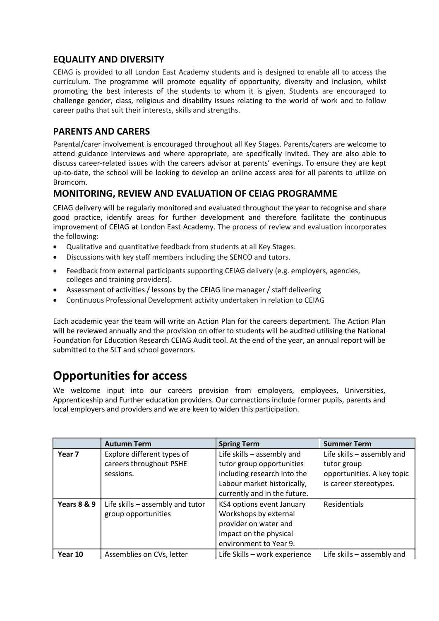# **EQUALITY AND DIVERSITY**

CEIAG is provided to all London East Academy students and is designed to enable all to access the curriculum. The programme will promote equality of opportunity, diversity and inclusion, whilst promoting the best interests of the students to whom it is given. Students are encouraged to challenge gender, class, religious and disability issues relating to the world of work and to follow career paths that suit their interests, skills and strengths.

# **PARENTS AND CARERS**

Parental/carer involvement is encouraged throughout all Key Stages. Parents/carers are welcome to attend guidance interviews and where appropriate, are specifically invited. They are also able to discuss career-related issues with the careers advisor at parents' evenings. To ensure they are kept up-to-date, the school will be looking to develop an online access area for all parents to utilize on Bromcom.

# **MONITORING, REVIEW AND EVALUATION OF CEIAG PROGRAMME**

CEIAG delivery will be regularly monitored and evaluated throughout the year to recognise and share good practice, identify areas for further development and therefore facilitate the continuous improvement of CEIAG at London East Academy. The process of review and evaluation incorporates the following:

- Qualitative and quantitative feedback from students at all Key Stages.
- Discussions with key staff members including the SENCO and tutors.
- Feedback from external participants supporting CEIAG delivery (e.g. employers, agencies, colleges and training providers).
- Assessment of activities / lessons by the CEIAG line manager / staff delivering
- Continuous Professional Development activity undertaken in relation to CEIAG

Each academic year the team will write an Action Plan for the careers department. The Action Plan will be reviewed annually and the provision on offer to students will be audited utilising the National Foundation for Education Research CEIAG Audit tool. At the end of the year, an annual report will be submitted to the SLT and school governors.

# **Opportunities for access**

We welcome input into our careers provision from employers, employees, Universities, Apprenticeship and Further education providers. Our connections include former pupils, parents and local employers and providers and we are keen to widen this participation.

|                        | <b>Autumn Term</b>               | <b>Spring Term</b>            | <b>Summer Term</b>         |
|------------------------|----------------------------------|-------------------------------|----------------------------|
| Year <sub>7</sub>      | Explore different types of       | Life skills - assembly and    | Life skills - assembly and |
|                        | careers throughout PSHE          | tutor group opportunities     | tutor group                |
|                        | sessions.                        | including research into the   | opportunities. A key topic |
|                        |                                  | Labour market historically,   | is career stereotypes.     |
|                        |                                  | currently and in the future.  |                            |
| <b>Years 8 &amp; 9</b> | Life skills - assembly and tutor | KS4 options event January     | Residentials               |
|                        | group opportunities              | Workshops by external         |                            |
|                        |                                  | provider on water and         |                            |
|                        |                                  | impact on the physical        |                            |
|                        |                                  | environment to Year 9.        |                            |
| Year 10                | Assemblies on CVs, letter        | Life Skills - work experience | Life skills - assembly and |